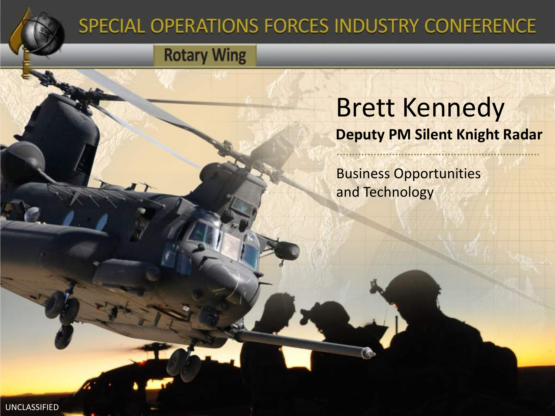

### SPECIAL OPERATIONS FORCES INDUSTRY CONFERENCE

**Rotary Wing** 

### Brett Kennedy **Deputy PM Silent Knight Radar**

Business Opportunities and Technology

UNCLASSIFIED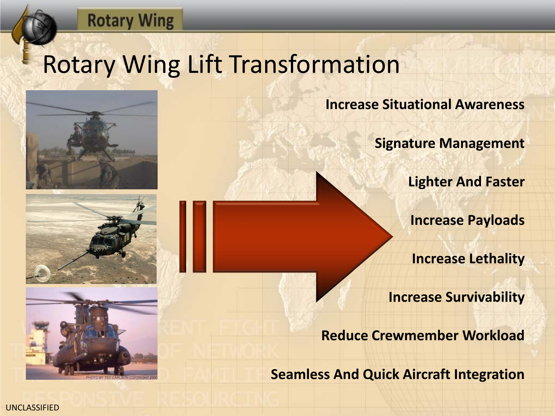#### **Rotary Wing**

# Rotary Wing Lift Transformation







**Increase Situational Awareness**

**Signature Management**

**Lighter And Faster** 

**Increase Payloads**

**Increase Lethality**

**Increase Survivability**

**Reduce Crewmember Workload**

**Seamless And Quick Aircraft Integration**

UNCLASSIFIED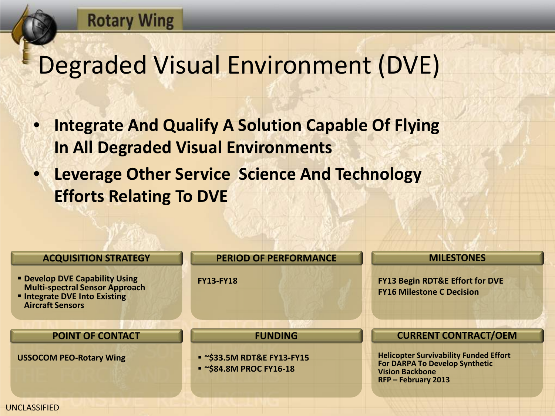# Degraded Visual Environment (DVE)

**Rotary Wing** 

- **Integrate And Qualify A Solution Capable Of Flying In All Degraded Visual Environments**
- **Leverage Other Service Science And Technology Efforts Relating To DVE**

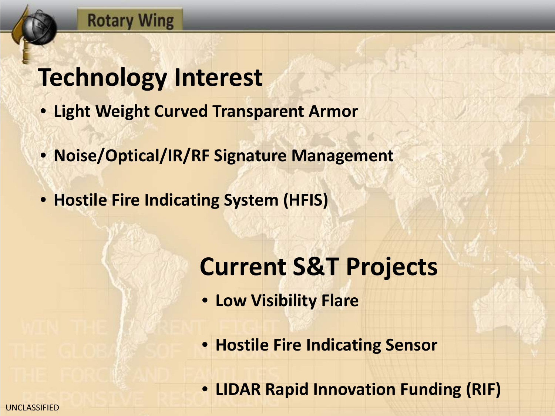## **Technology Interest**

**Rotary Wing** 

- **Light Weight Curved Transparent Armor**
- **Noise/Optical/IR/RF Signature Management**
- **Hostile Fire Indicating System (HFIS)**

### **Current S&T Projects**

- **Low Visibility Flare**
- **Hostile Fire Indicating Sensor**
- **LIDAR Rapid Innovation Funding (RIF)**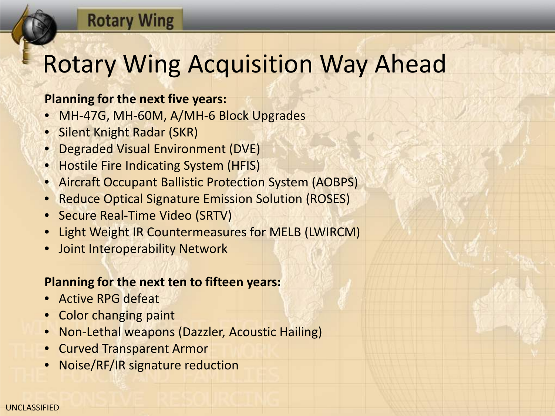### **Rotary Wing**

# Rotary Wing Acquisition Way Ahead

#### **Planning for the next five years:**

- MH-47G, MH-60M, A/MH-6 Block Upgrades
- Silent Knight Radar (SKR)
- Degraded Visual Environment (DVE)
- Hostile Fire Indicating System (HFIS)
- Aircraft Occupant Ballistic Protection System (AOBPS)
- Reduce Optical Signature Emission Solution (ROSES)
- Secure Real-Time Video (SRTV)
- Light Weight IR Countermeasures for MELB (LWIRCM)
- Joint Interoperability Network

#### **Planning for the next ten to fifteen years:**

- Active RPG defeat
- Color changing paint
- Non-Lethal weapons (Dazzler, Acoustic Hailing)
- Curved Transparent Armor
- Noise/RF/IR signature reduction